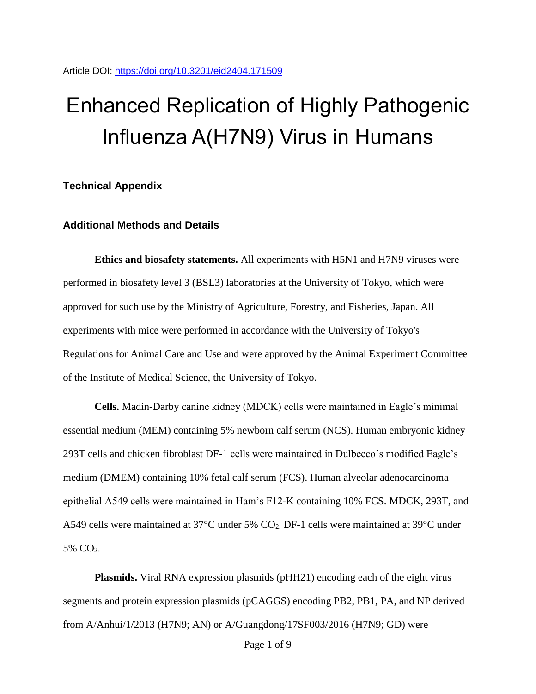## Enhanced Replication of Highly Pathogenic Influenza A(H7N9) Virus in Humans

**Technical Appendix**

## **Additional Methods and Details**

**Ethics and biosafety statements.** All experiments with H5N1 and H7N9 viruses were performed in biosafety level 3 (BSL3) laboratories at the University of Tokyo, which were approved for such use by the Ministry of Agriculture, Forestry, and Fisheries, Japan. All experiments with mice were performed in accordance with the University of Tokyo's Regulations for Animal Care and Use and were approved by the Animal Experiment Committee of the Institute of Medical Science, the University of Tokyo.

**Cells.** Madin-Darby canine kidney (MDCK) cells were maintained in Eagle's minimal essential medium (MEM) containing 5% newborn calf serum (NCS). Human embryonic kidney 293T cells and chicken fibroblast DF-1 cells were maintained in Dulbecco's modified Eagle's medium (DMEM) containing 10% fetal calf serum (FCS). Human alveolar adenocarcinoma epithelial A549 cells were maintained in Ham's F12-K containing 10% FCS. MDCK, 293T, and A549 cells were maintained at 37°C under 5% CO2. DF-1 cells were maintained at 39°C under 5% CO2.

**Plasmids.** Viral RNA expression plasmids (pHH21) encoding each of the eight virus segments and protein expression plasmids (pCAGGS) encoding PB2, PB1, PA, and NP derived from A/Anhui/1/2013 (H7N9; AN) or A/Guangdong/17SF003/2016 (H7N9; GD) were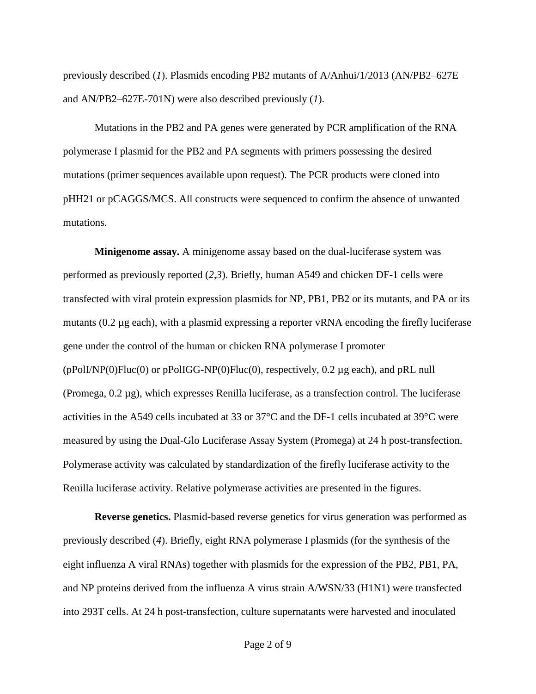previously described (*1*). Plasmids encoding PB2 mutants of A/Anhui/1/2013 (AN/PB2–627E and AN/PB2–627E-701N) were also described previously (*1*).

Mutations in the PB2 and PA genes were generated by PCR amplification of the RNA polymerase I plasmid for the PB2 and PA segments with primers possessing the desired mutations (primer sequences available upon request). The PCR products were cloned into pHH21 or pCAGGS/MCS. All constructs were sequenced to confirm the absence of unwanted mutations.

**Minigenome assay.** A minigenome assay based on the dual-luciferase system was performed as previously reported (*2*,*3*). Briefly, human A549 and chicken DF-1 cells were transfected with viral protein expression plasmids for NP, PB1, PB2 or its mutants, and PA or its mutants (0.2 µg each), with a plasmid expressing a reporter vRNA encoding the firefly luciferase gene under the control of the human or chicken RNA polymerase I promoter  $(pPolINP(0)Fluc(0)$  or  $pPolIGG-NP(0)Fluc(0)$ , respectively, 0.2 µg each), and  $pRL$  null (Promega,  $0.2 \mu$ g), which expresses Renilla luciferase, as a transfection control. The luciferase activities in the A549 cells incubated at 33 or 37°C and the DF-1 cells incubated at 39°C were measured by using the Dual-Glo Luciferase Assay System (Promega) at 24 h post-transfection. Polymerase activity was calculated by standardization of the firefly luciferase activity to the Renilla luciferase activity. Relative polymerase activities are presented in the figures.

**Reverse genetics.** Plasmid-based reverse genetics for virus generation was performed as previously described (*4*). Briefly, eight RNA polymerase I plasmids (for the synthesis of the eight influenza A viral RNAs) together with plasmids for the expression of the PB2, PB1, PA, and NP proteins derived from the influenza A virus strain A/WSN/33 (H1N1) were transfected into 293T cells. At 24 h post-transfection, culture supernatants were harvested and inoculated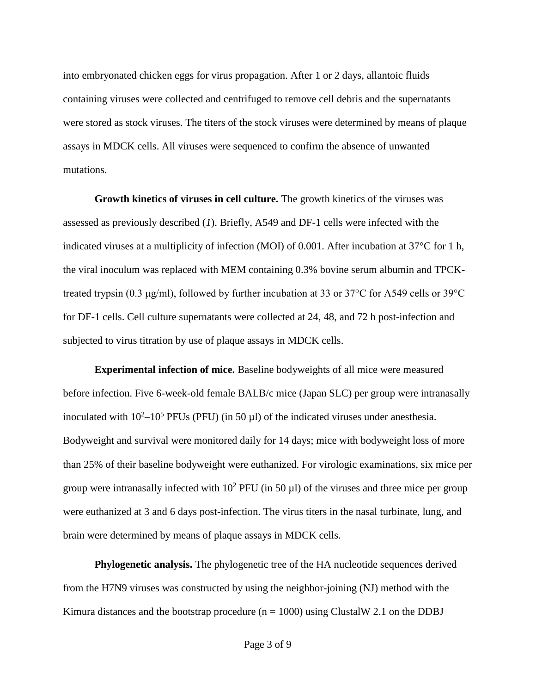into embryonated chicken eggs for virus propagation. After 1 or 2 days, allantoic fluids containing viruses were collected and centrifuged to remove cell debris and the supernatants were stored as stock viruses. The titers of the stock viruses were determined by means of plaque assays in MDCK cells. All viruses were sequenced to confirm the absence of unwanted mutations.

**Growth kinetics of viruses in cell culture.** The growth kinetics of the viruses was assessed as previously described (*1*). Briefly, A549 and DF-1 cells were infected with the indicated viruses at a multiplicity of infection (MOI) of 0.001. After incubation at 37°C for 1 h, the viral inoculum was replaced with MEM containing 0.3% bovine serum albumin and TPCKtreated trypsin (0.3 μg/ml), followed by further incubation at 33 or 37°C for A549 cells or 39°C for DF-1 cells. Cell culture supernatants were collected at 24, 48, and 72 h post-infection and subjected to virus titration by use of plaque assays in MDCK cells.

**Experimental infection of mice.** Baseline bodyweights of all mice were measured before infection. Five 6-week-old female BALB/c mice (Japan SLC) per group were intranasally inoculated with  $10^2 - 10^5$  PFUs (PFU) (in 50  $\mu$ l) of the indicated viruses under anesthesia. Bodyweight and survival were monitored daily for 14 days; mice with bodyweight loss of more than 25% of their baseline bodyweight were euthanized. For virologic examinations, six mice per group were intranasally infected with  $10^2$  PFU (in 50 µl) of the viruses and three mice per group were euthanized at 3 and 6 days post-infection. The virus titers in the nasal turbinate, lung, and brain were determined by means of plaque assays in MDCK cells.

**Phylogenetic analysis.** The phylogenetic tree of the HA nucleotide sequences derived from the H7N9 viruses was constructed by using the neighbor-joining (NJ) method with the Kimura distances and the bootstrap procedure ( $n = 1000$ ) using ClustalW 2.1 on the DDBJ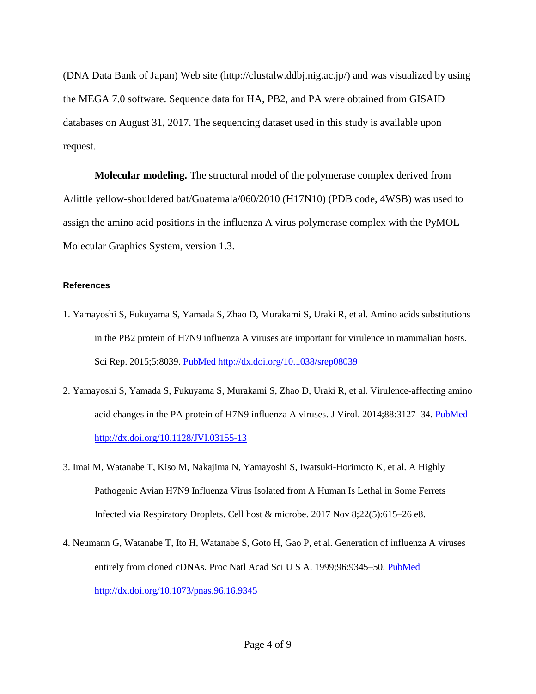(DNA Data Bank of Japan) Web site (http://clustalw.ddbj.nig.ac.jp/) and was visualized by using the MEGA 7.0 software. Sequence data for HA, PB2, and PA were obtained from GISAID databases on August 31, 2017. The sequencing dataset used in this study is available upon request.

**Molecular modeling.** The structural model of the polymerase complex derived from A/little yellow-shouldered bat/Guatemala/060/2010 (H17N10) (PDB code, 4WSB) was used to assign the amino acid positions in the influenza A virus polymerase complex with the PyMOL Molecular Graphics System, version 1.3.

## **References**

- 1. Yamayoshi S, Fukuyama S, Yamada S, Zhao D, Murakami S, Uraki R, et al. Amino acids substitutions in the PB2 protein of H7N9 influenza A viruses are important for virulence in mammalian hosts. Sci Rep. 2015;5:8039. [PubMed](https://www.ncbi.nlm.nih.gov/entrez/query.fcgi?cmd=Retrieve&db=PubMed&list_uids=25623817&dopt=Abstract) <http://dx.doi.org/10.1038/srep08039>
- 2. Yamayoshi S, Yamada S, Fukuyama S, Murakami S, Zhao D, Uraki R, et al. Virulence-affecting amino acid changes in the PA protein of H7N9 influenza A viruses. J Virol. 2014;88:3127–34. [PubMed](https://www.ncbi.nlm.nih.gov/entrez/query.fcgi?cmd=Retrieve&db=PubMed&list_uids=24371069&dopt=Abstract) <http://dx.doi.org/10.1128/JVI.03155-13>
- 3. Imai M, Watanabe T, Kiso M, Nakajima N, Yamayoshi S, Iwatsuki-Horimoto K, et al. A Highly Pathogenic Avian H7N9 Influenza Virus Isolated from A Human Is Lethal in Some Ferrets Infected via Respiratory Droplets. Cell host & microbe. 2017 Nov 8;22(5):615–26 e8.
- 4. Neumann G, Watanabe T, Ito H, Watanabe S, Goto H, Gao P, et al. Generation of influenza A viruses entirely from cloned cDNAs. Proc Natl Acad Sci U S A. 1999;96:9345–50. [PubMed](https://www.ncbi.nlm.nih.gov/entrez/query.fcgi?cmd=Retrieve&db=PubMed&list_uids=10430945&dopt=Abstract) <http://dx.doi.org/10.1073/pnas.96.16.9345>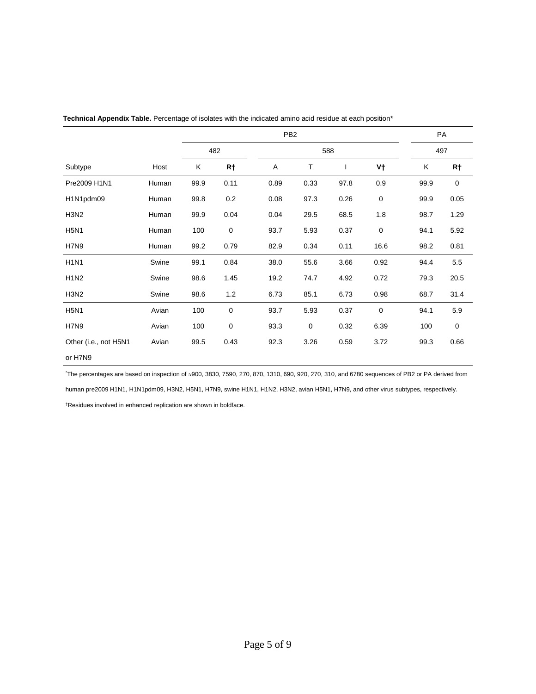|                               |       | PB <sub>2</sub> |             |      |             |      |             | PA   |             |
|-------------------------------|-------|-----------------|-------------|------|-------------|------|-------------|------|-------------|
|                               |       | 482             |             | 588  |             |      |             | 497  |             |
| Subtype                       | Host  | Κ               | R†          | A    | т           |      | V†          | Κ    | R†          |
| Pre2009 H1N1                  | Human | 99.9            | 0.11        | 0.89 | 0.33        | 97.8 | 0.9         | 99.9 | $\mathbf 0$ |
| H1N1pdm09                     | Human | 99.8            | 0.2         | 0.08 | 97.3        | 0.26 | $\mathbf 0$ | 99.9 | 0.05        |
| H <sub>3</sub> N <sub>2</sub> | Human | 99.9            | 0.04        | 0.04 | 29.5        | 68.5 | 1.8         | 98.7 | 1.29        |
| <b>H5N1</b>                   | Human | 100             | $\pmb{0}$   | 93.7 | 5.93        | 0.37 | 0           | 94.1 | 5.92        |
| H7N9                          | Human | 99.2            | 0.79        | 82.9 | 0.34        | 0.11 | 16.6        | 98.2 | 0.81        |
| <b>H1N1</b>                   | Swine | 99.1            | 0.84        | 38.0 | 55.6        | 3.66 | 0.92        | 94.4 | 5.5         |
| <b>H1N2</b>                   | Swine | 98.6            | 1.45        | 19.2 | 74.7        | 4.92 | 0.72        | 79.3 | 20.5        |
| H <sub>3</sub> N <sub>2</sub> | Swine | 98.6            | 1.2         | 6.73 | 85.1        | 6.73 | 0.98        | 68.7 | 31.4        |
| <b>H5N1</b>                   | Avian | 100             | $\mathbf 0$ | 93.7 | 5.93        | 0.37 | $\mathbf 0$ | 94.1 | 5.9         |
| H7N9                          | Avian | 100             | $\pmb{0}$   | 93.3 | $\mathbf 0$ | 0.32 | 6.39        | 100  | $\pmb{0}$   |
| Other (i.e., not H5N1         | Avian | 99.5            | 0.43        | 92.3 | 3.26        | 0.59 | 3.72        | 99.3 | 0.66        |
| or H7N9                       |       |                 |             |      |             |      |             |      |             |

**Technical Appendix Table.** Percentage of isolates with the indicated amino acid residue at each position\*

\*The percentages are based on inspection of ≈900, 3830, 7590, 270, 870, 1310, 690, 920, 270, 310, and 6780 sequences of PB2 or PA derived from human pre2009 H1N1, H1N1pdm09, H3N2, H5N1, H7N9, swine H1N1, H1N2, H3N2, avian H5N1, H7N9, and other virus subtypes, respectively.

†Residues involved in enhanced replication are shown in boldface.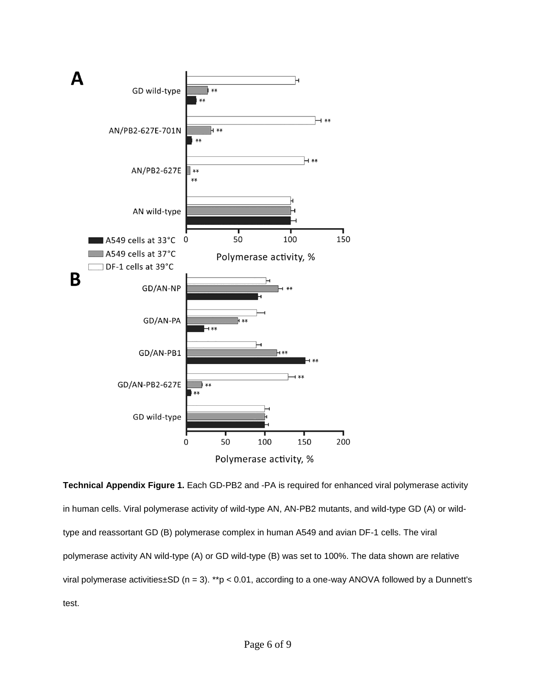

**Technical Appendix Figure 1.** Each GD-PB2 and -PA is required for enhanced viral polymerase activity in human cells. Viral polymerase activity of wild-type AN, AN-PB2 mutants, and wild-type GD (A) or wildtype and reassortant GD (B) polymerase complex in human A549 and avian DF-1 cells. The viral polymerase activity AN wild-type (A) or GD wild-type (B) was set to 100%. The data shown are relative viral polymerase activities $\pm$ SD (n = 3). \*\*p < 0.01, according to a one-way ANOVA followed by a Dunnett's test.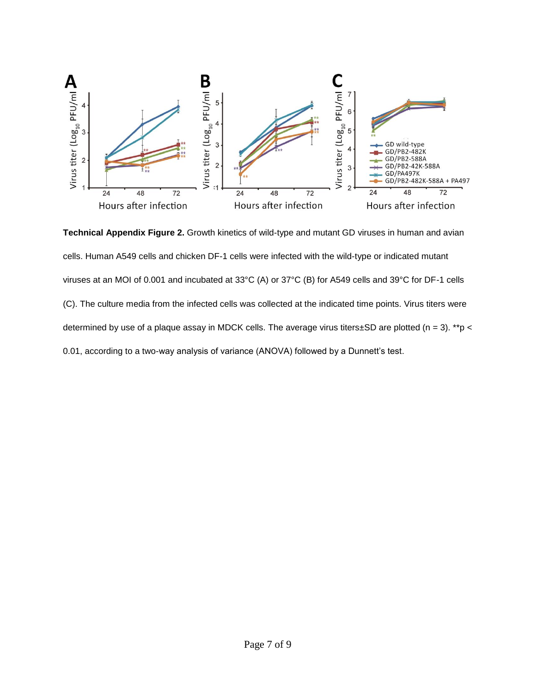

**Technical Appendix Figure 2.** Growth kinetics of wild-type and mutant GD viruses in human and avian cells. Human A549 cells and chicken DF-1 cells were infected with the wild-type or indicated mutant viruses at an MOI of 0.001 and incubated at 33°C (A) or 37°C (B) for A549 cells and 39°C for DF-1 cells (C). The culture media from the infected cells was collected at the indicated time points. Virus titers were determined by use of a plaque assay in MDCK cells. The average virus titers±SD are plotted (n = 3). \*\*p < 0.01, according to a two-way analysis of variance (ANOVA) followed by a Dunnett's test.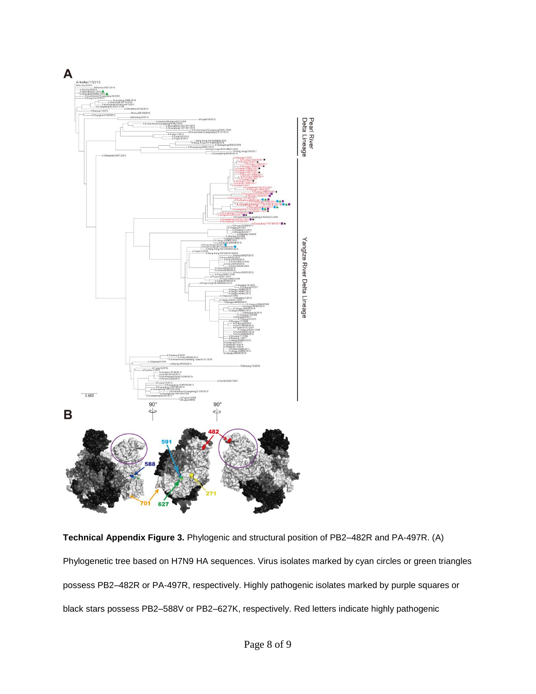

**Technical Appendix Figure 3.** Phylogenic and structural position of PB2–482R and PA-497R. (A) Phylogenetic tree based on H7N9 HA sequences. Virus isolates marked by cyan circles or green triangles possess PB2–482R or PA-497R, respectively. Highly pathogenic isolates marked by purple squares or black stars possess PB2–588V or PB2–627K, respectively. Red letters indicate highly pathogenic